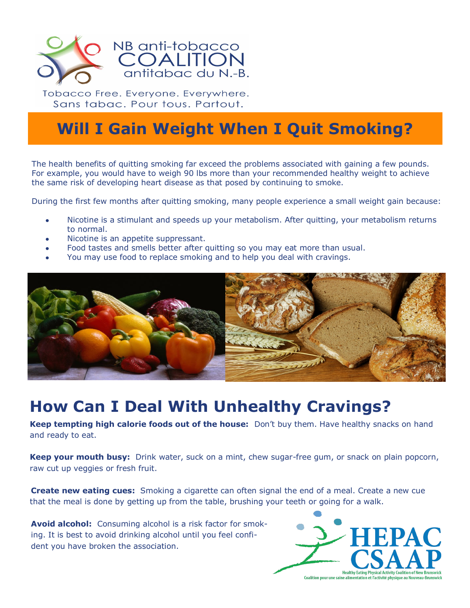

Tobacco Free. Everyone. Everywhere. Sans tabac. Pour tous. Partout.

## **Will I Gain Weight When I Quit Smoking?**

The health benefits of quitting smoking far exceed the problems associated with gaining a few pounds. For example, you would have to weigh 90 lbs more than your recommended healthy weight to achieve the same risk of developing heart disease as that posed by continuing to smoke.

During the first few months after quitting smoking, many people experience a small weight gain because:

- Nicotine is a stimulant and speeds up your metabolism. After quitting, your metabolism returns to normal.
- Nicotine is an appetite suppressant.
- Food tastes and smells better after quitting so you may eat more than usual.
- You may use food to replace smoking and to help you deal with cravings.



## **How Can I Deal With Unhealthy Cravings?**

**Keep tempting high calorie foods out of the house:** Don't buy them. Have healthy snacks on hand and ready to eat.

**Keep your mouth busy:** Drink water, suck on a mint, chew sugar-free gum, or snack on plain popcorn, raw cut up veggies or fresh fruit.

**Create new eating cues:** Smoking a cigarette can often signal the end of a meal. Create a new cue that the meal is done by getting up from the table, brushing your teeth or going for a walk.

**Avoid alcohol:** Consuming alcohol is a risk factor for smoking. It is best to avoid drinking alcohol until you feel confident you have broken the association.